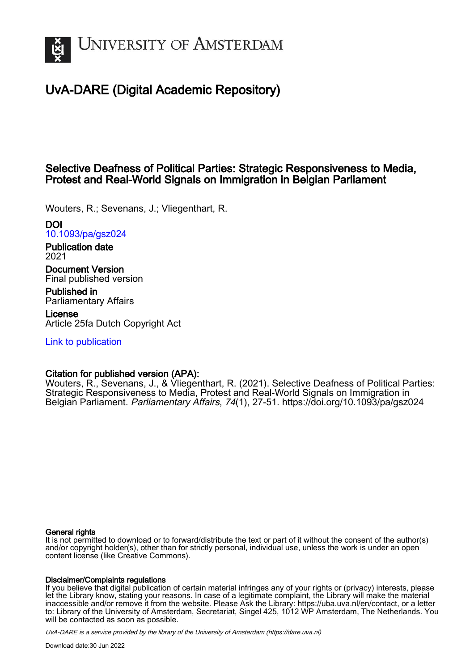

# UvA-DARE (Digital Academic Repository)

# Selective Deafness of Political Parties: Strategic Responsiveness to Media, Protest and Real-World Signals on Immigration in Belgian Parliament

Wouters, R.; Sevenans, J.; Vliegenthart, R.

DOI [10.1093/pa/gsz024](https://doi.org/10.1093/pa/gsz024)

Publication date 2021

Document Version Final published version

Published in Parliamentary Affairs

License Article 25fa Dutch Copyright Act

[Link to publication](https://dare.uva.nl/personal/pure/en/publications/selective-deafness-of-political-parties-strategic-responsiveness-to-media-protest-and-realworld-signals-on-immigration-in-belgian-parliament(85fdcf9b-5c1f-4d05-9504-dd03a3868488).html)

# Citation for published version (APA):

Wouters, R., Sevenans, J., & Vliegenthart, R. (2021). Selective Deafness of Political Parties: Strategic Responsiveness to Media, Protest and Real-World Signals on Immigration in Belgian Parliament. Parliamentary Affairs, 74(1), 27-51.<https://doi.org/10.1093/pa/gsz024>

# General rights

It is not permitted to download or to forward/distribute the text or part of it without the consent of the author(s) and/or copyright holder(s), other than for strictly personal, individual use, unless the work is under an open content license (like Creative Commons).

# Disclaimer/Complaints regulations

If you believe that digital publication of certain material infringes any of your rights or (privacy) interests, please let the Library know, stating your reasons. In case of a legitimate complaint, the Library will make the material inaccessible and/or remove it from the website. Please Ask the Library: https://uba.uva.nl/en/contact, or a letter to: Library of the University of Amsterdam, Secretariat, Singel 425, 1012 WP Amsterdam, The Netherlands. You will be contacted as soon as possible.

UvA-DARE is a service provided by the library of the University of Amsterdam (http*s*://dare.uva.nl)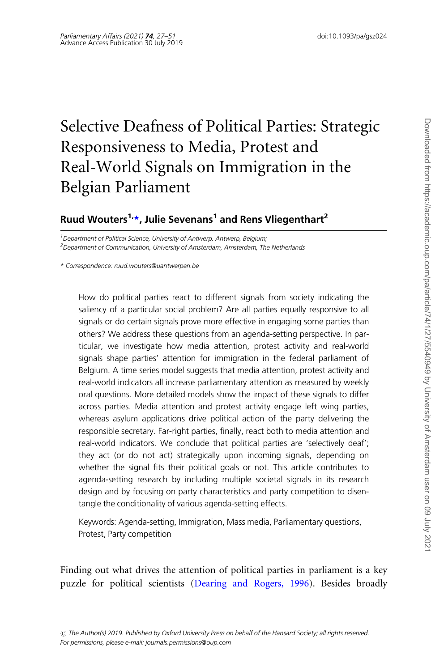# Selective Deafness of Political Parties: Strategic Responsiveness to Media, Protest and Real-World Signals on Immigration in the Belgian Parliament

# Ruud Wouters<sup>1,\*</sup>, Julie Sevenans<sup>1</sup> and Rens Vliegenthart<sup>2</sup>

<sup>1</sup> Department of Political Science, University of Antwerp, Antwerp, Belgium; <sup>2</sup>Department of Communication, University of Amsterdam, Amsterdam, The Netherlands

\* Correspondence: ruud.wouters@uantwerpen.be

How do political parties react to different signals from society indicating the saliency of a particular social problem? Are all parties equally responsive to all signals or do certain signals prove more effective in engaging some parties than others? We address these questions from an agenda-setting perspective. In particular, we investigate how media attention, protest activity and real-world signals shape parties' attention for immigration in the federal parliament of Belgium. A time series model suggests that media attention, protest activity and real-world indicators all increase parliamentary attention as measured by weekly oral questions. More detailed models show the impact of these signals to differ across parties. Media attention and protest activity engage left wing parties, whereas asylum applications drive political action of the party delivering the responsible secretary. Far-right parties, finally, react both to media attention and real-world indicators. We conclude that political parties are 'selectively deaf'; they act (or do not act) strategically upon incoming signals, depending on whether the signal fits their political goals or not. This article contributes to agenda-setting research by including multiple societal signals in its research design and by focusing on party characteristics and party competition to disentangle the conditionality of various agenda-setting effects.

Keywords: Agenda-setting, Immigration, Mass media, Parliamentary questions, Protest, Party competition

Finding out what drives the attention of political parties in parliament is a key puzzle for political scientists ([Dearing and Rogers, 1996](#page-21-0)). Besides broadly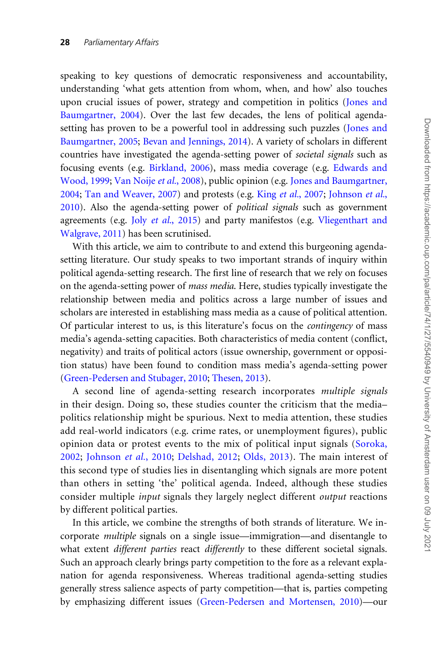speaking to key questions of democratic responsiveness and accountability, understanding 'what gets attention from whom, when, and how' also touches upon crucial issues of power, strategy and competition in politics [\(Jones and](#page-23-0) [Baumgartner, 2004\)](#page-23-0). Over the last few decades, the lens of political agendasetting has proven to be a powerful tool in addressing such puzzles ([Jones and](#page-23-0) [Baumgartner, 2005](#page-23-0); [Bevan and Jennings, 2014](#page-21-0)). A variety of scholars in different countries have investigated the agenda-setting power of societal signals such as focusing events (e.g. [Birkland, 2006](#page-21-0)), mass media coverage (e.g. [Edwards and](#page-22-0) [Wood, 1999](#page-22-0); [Van Noije](#page-24-0) et al., 2008), public opinion (e.g. [Jones and Baumgartner,](#page-23-0) [2004;](#page-23-0) [Tan and Weaver, 2007\)](#page-24-0) and protests (e.g. King et al.[, 2007;](#page-23-0) [Johnson](#page-22-0) et al., [2010\)](#page-22-0). Also the agenda-setting power of political signals such as government agreements (e.g. Joly et al.[, 2015\)](#page-23-0) and party manifestos (e.g. [Vliegenthart and](#page-25-0) [Walgrave, 2011\)](#page-25-0) has been scrutinised.

With this article, we aim to contribute to and extend this burgeoning agendasetting literature. Our study speaks to two important strands of inquiry within political agenda-setting research. The first line of research that we rely on focuses on the agenda-setting power of mass media. Here, studies typically investigate the relationship between media and politics across a large number of issues and scholars are interested in establishing mass media as a cause of political attention. Of particular interest to us, is this literature's focus on the contingency of mass media's agenda-setting capacities. Both characteristics of media content (conflict, negativity) and traits of political actors (issue ownership, government or opposition status) have been found to condition mass media's agenda-setting power [\(Green-Pedersen and Stubager, 2010;](#page-22-0) [Thesen, 2013](#page-24-0)).

A second line of agenda-setting research incorporates multiple signals in their design. Doing so, these studies counter the criticism that the media– politics relationship might be spurious. Next to media attention, these studies add real-world indicators (e.g. crime rates, or unemployment figures), public opinion data or protest events to the mix of political input signals [\(Soroka,](#page-24-0) [2002](#page-24-0); [Johnson](#page-22-0) et al., 2010; [Delshad, 2012;](#page-21-0) [Olds, 2013\)](#page-23-0). The main interest of this second type of studies lies in disentangling which signals are more potent than others in setting 'the' political agenda. Indeed, although these studies consider multiple input signals they largely neglect different output reactions by different political parties.

In this article, we combine the strengths of both strands of literature. We incorporate multiple signals on a single issue—immigration—and disentangle to what extent *different parties* react *differently* to these different societal signals. Such an approach clearly brings party competition to the fore as a relevant explanation for agenda responsiveness. Whereas traditional agenda-setting studies generally stress salience aspects of party competition—that is, parties competing by emphasizing different issues ([Green-Pedersen and Mortensen, 2010\)](#page-22-0)—our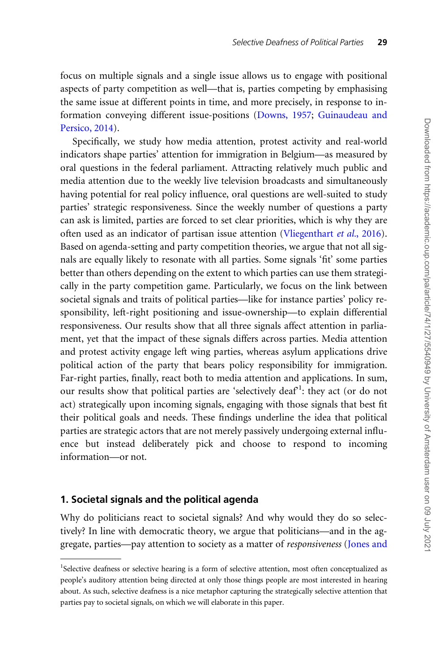focus on multiple signals and a single issue allows us to engage with positional aspects of party competition as well—that is, parties competing by emphasising the same issue at different points in time, and more precisely, in response to information conveying different issue-positions [\(Downs, 1957;](#page-21-0) [Guinaudeau and](#page-22-0) [Persico, 2014\)](#page-22-0).

Specifically, we study how media attention, protest activity and real-world indicators shape parties' attention for immigration in Belgium—as measured by oral questions in the federal parliament. Attracting relatively much public and media attention due to the weekly live television broadcasts and simultaneously having potential for real policy influence, oral questions are well-suited to study parties' strategic responsiveness. Since the weekly number of questions a party can ask is limited, parties are forced to set clear priorities, which is why they are often used as an indicator of partisan issue attention [\(Vliegenthart](#page-25-0) et al., 2016). Based on agenda-setting and party competition theories, we argue that not all signals are equally likely to resonate with all parties. Some signals 'fit' some parties better than others depending on the extent to which parties can use them strategically in the party competition game. Particularly, we focus on the link between societal signals and traits of political parties—like for instance parties' policy responsibility, left-right positioning and issue-ownership—to explain differential responsiveness. Our results show that all three signals affect attention in parliament, yet that the impact of these signals differs across parties. Media attention and protest activity engage left wing parties, whereas asylum applications drive political action of the party that bears policy responsibility for immigration. Far-right parties, finally, react both to media attention and applications. In sum, our results show that political parties are 'selectively deaf<sup>1</sup>: they act (or do not act) strategically upon incoming signals, engaging with those signals that best fit their political goals and needs. These findings underline the idea that political parties are strategic actors that are not merely passively undergoing external influence but instead deliberately pick and choose to respond to incoming information—or not.

#### 1. Societal signals and the political agenda

Why do politicians react to societal signals? And why would they do so selectively? In line with democratic theory, we argue that politicians—and in the aggregate, parties—pay attention to society as a matter of responsiveness [\(Jones and](#page-23-0)

<sup>&</sup>lt;sup>1</sup>Selective deafness or selective hearing is a form of selective attention, most often conceptualized as people's auditory attention being directed at only those things people are most interested in hearing about. As such, selective deafness is a nice metaphor capturing the strategically selective attention that parties pay to societal signals, on which we will elaborate in this paper.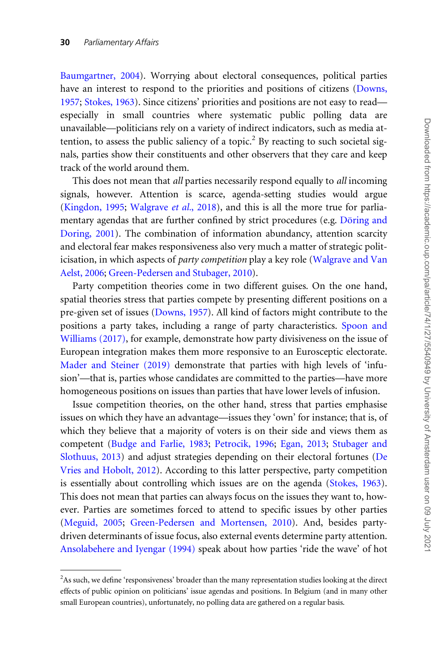[Baumgartner, 2004\)](#page-23-0). Worrying about electoral consequences, political parties have an interest to respond to the priorities and positions of citizens [\(Downs,](#page-21-0) [1957;](#page-21-0) [Stokes, 1963\)](#page-24-0). Since citizens' priorities and positions are not easy to read especially in small countries where systematic public polling data are unavailable—politicians rely on a variety of indirect indicators, such as media attention, to assess the public saliency of a topic.<sup>2</sup> By reacting to such societal signals, parties show their constituents and other observers that they care and keep track of the world around them.

This does not mean that *all* parties necessarily respond equally to *all* incoming signals, however. Attention is scarce, agenda-setting studies would argue [\(Kingdon, 1995;](#page-23-0) [Walgrave](#page-25-0) et al., 2018), and this is all the more true for parliamentary agendas that are further confined by strict procedures (e.g. Döring and [Doring, 2001](#page-21-0)). The combination of information abundancy, attention scarcity and electoral fear makes responsiveness also very much a matter of strategic politicisation, in which aspects of party competition play a key role [\(Walgrave and Van](#page-25-0) [Aelst, 2006;](#page-25-0) [Green-Pedersen and Stubager, 2010\)](#page-22-0).

Party competition theories come in two different guises. On the one hand, spatial theories stress that parties compete by presenting different positions on a pre-given set of issues [\(Downs, 1957](#page-21-0)). All kind of factors might contribute to the positions a party takes, including a range of party characteristics. [Spoon and](#page-24-0) [Williams \(2017\)](#page-24-0), for example, demonstrate how party divisiveness on the issue of European integration makes them more responsive to an Eurosceptic electorate. [Mader and Steiner \(2019\)](#page-23-0) demonstrate that parties with high levels of 'infusion'—that is, parties whose candidates are committed to the parties—have more homogeneous positions on issues than parties that have lower levels of infusion.

Issue competition theories, on the other hand, stress that parties emphasise issues on which they have an advantage—issues they 'own' for instance; that is, of which they believe that a majority of voters is on their side and views them as competent ([Budge and Farlie, 1983;](#page-21-0) [Petrocik, 1996;](#page-23-0) [Egan, 2013](#page-22-0); [Stubager and](#page-24-0) [Slothuus, 2013](#page-24-0)) and adjust strategies depending on their electoral fortunes [\(De](#page-21-0) [Vries and Hobolt, 2012](#page-21-0)). According to this latter perspective, party competition is essentially about controlling which issues are on the agenda ([Stokes, 1963](#page-24-0)). This does not mean that parties can always focus on the issues they want to, however. Parties are sometimes forced to attend to specific issues by other parties [\(Meguid, 2005;](#page-23-0) [Green-Pedersen and Mortensen, 2010](#page-22-0)). And, besides partydriven determinants of issue focus, also external events determine party attention. [Ansolabehere and Iyengar \(1994\)](#page-21-0) speak about how parties 'ride the wave' of hot

<sup>&</sup>lt;sup>2</sup>As such, we define 'responsiveness' broader than the many representation studies looking at the direct effects of public opinion on politicians' issue agendas and positions. In Belgium (and in many other small European countries), unfortunately, no polling data are gathered on a regular basis.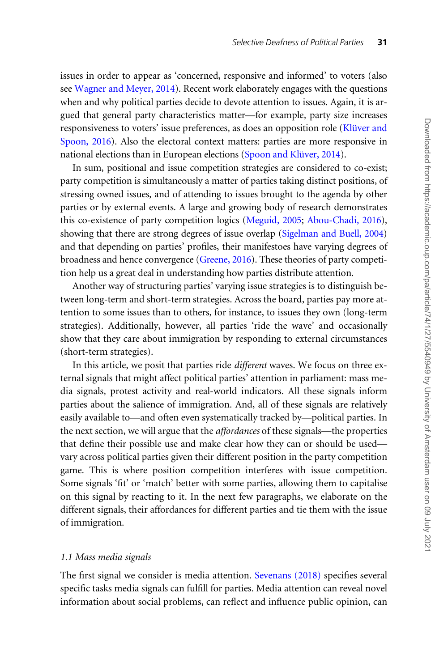issues in order to appear as 'concerned, responsive and informed' to voters (also see [Wagner and Meyer, 2014\)](#page-25-0). Recent work elaborately engages with the questions when and why political parties decide to devote attention to issues. Again, it is argued that general party characteristics matter—for example, party size increases responsiveness to voters' issue preferences, as does an opposition role (Klüver and [Spoon, 2016\)](#page-23-0). Also the electoral context matters: parties are more responsive in national elections than in European elections (Spoon and Klüver, 2014).

In sum, positional and issue competition strategies are considered to co-exist; party competition is simultaneously a matter of parties taking distinct positions, of stressing owned issues, and of attending to issues brought to the agenda by other parties or by external events. A large and growing body of research demonstrates this co-existence of party competition logics [\(Meguid, 2005;](#page-23-0) [Abou-Chadi, 2016\)](#page-20-0), showing that there are strong degrees of issue overlap ([Sigelman and Buell, 2004\)](#page-23-0) and that depending on parties' profiles, their manifestoes have varying degrees of broadness and hence convergence [\(Greene, 2016](#page-22-0)). These theories of party competition help us a great deal in understanding how parties distribute attention.

Another way of structuring parties' varying issue strategies is to distinguish between long-term and short-term strategies. Across the board, parties pay more attention to some issues than to others, for instance, to issues they own (long-term strategies). Additionally, however, all parties 'ride the wave' and occasionally show that they care about immigration by responding to external circumstances (short-term strategies).

In this article, we posit that parties ride different waves. We focus on three external signals that might affect political parties' attention in parliament: mass media signals, protest activity and real-world indicators. All these signals inform parties about the salience of immigration. And, all of these signals are relatively easily available to—and often even systematically tracked by—political parties. In the next section, we will argue that the affordances of these signals—the properties that define their possible use and make clear how they can or should be used vary across political parties given their different position in the party competition game. This is where position competition interferes with issue competition. Some signals 'fit' or 'match' better with some parties, allowing them to capitalise on this signal by reacting to it. In the next few paragraphs, we elaborate on the different signals, their affordances for different parties and tie them with the issue of immigration.

#### 1.1 Mass media signals

The first signal we consider is media attention. [Sevenans \(2018\)](#page-23-0) specifies several specific tasks media signals can fulfill for parties. Media attention can reveal novel information about social problems, can reflect and influence public opinion, can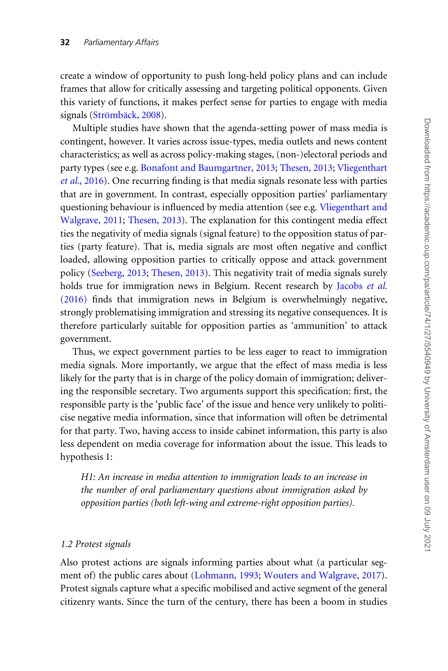create a window of opportunity to push long-held policy plans and can include frames that allow for critically assessing and targeting political opponents. Given this variety of functions, it makes perfect sense for parties to engage with media signals (Strömbäck, 2008).

Multiple studies have shown that the agenda-setting power of mass media is contingent, however. It varies across issue-types, media outlets and news content characteristics; as well as across policy-making stages, (non-)electoral periods and party types (see e.g. [Bonafont and Baumgartner, 2013;](#page-21-0) [Thesen, 2013;](#page-24-0) [Vliegenthart](#page-25-0) et al.[, 2016](#page-25-0)). One recurring finding is that media signals resonate less with parties that are in government. In contrast, especially opposition parties' parliamentary questioning behaviour is influenced by media attention (see e.g. [Vliegenthart and](#page-25-0) [Walgrave, 2011](#page-25-0); [Thesen, 2013](#page-24-0)). The explanation for this contingent media effect ties the negativity of media signals (signal feature) to the opposition status of parties (party feature). That is, media signals are most often negative and conflict loaded, allowing opposition parties to critically oppose and attack government policy [\(Seeberg, 2013;](#page-23-0) [Thesen, 2013\)](#page-24-0). This negativity trait of media signals surely holds true for immigration news in Belgium. Recent research by [Jacobs](#page-22-0) et al. [\(2016\)](#page-22-0) finds that immigration news in Belgium is overwhelmingly negative, strongly problematising immigration and stressing its negative consequences. It is therefore particularly suitable for opposition parties as 'ammunition' to attack government.

Thus, we expect government parties to be less eager to react to immigration media signals. More importantly, we argue that the effect of mass media is less likely for the party that is in charge of the policy domain of immigration; delivering the responsible secretary. Two arguments support this specification: first, the responsible party is the 'public face' of the issue and hence very unlikely to politicise negative media information, since that information will often be detrimental for that party. Two, having access to inside cabinet information, this party is also less dependent on media coverage for information about the issue. This leads to hypothesis 1:

H1: An increase in media attention to immigration leads to an increase in the number of oral parliamentary questions about immigration asked by opposition parties (both left-wing and extreme-right opposition parties).

#### 1.2 Protest signals

Also protest actions are signals informing parties about what (a particular segment of) the public cares about [\(Lohmann, 1993](#page-23-0); [Wouters and Walgrave, 2017](#page-25-0)). Protest signals capture what a specific mobilised and active segment of the general citizenry wants. Since the turn of the century, there has been a boom in studies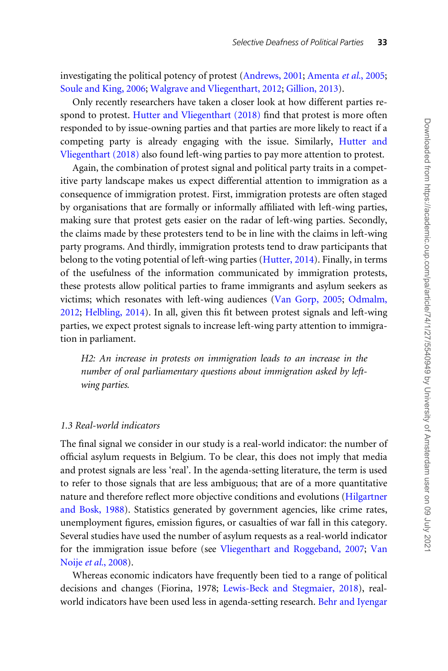investigating the political potency of protest [\(Andrews, 2001;](#page-21-0) [Amenta](#page-21-0) et al., 2005; [Soule and King, 2006;](#page-24-0) [Walgrave and Vliegenthart, 2012](#page-25-0); [Gillion, 2013](#page-22-0)).

Only recently researchers have taken a closer look at how different parties respond to protest. [Hutter and Vliegenthart \(2018\)](#page-22-0) find that protest is more often responded to by issue-owning parties and that parties are more likely to react if a competing party is already engaging with the issue. Similarly, [Hutter and](#page-22-0) [Vliegenthart \(2018\)](#page-22-0) also found left-wing parties to pay more attention to protest.

Again, the combination of protest signal and political party traits in a competitive party landscape makes us expect differential attention to immigration as a consequence of immigration protest. First, immigration protests are often staged by organisations that are formally or informally affiliated with left-wing parties, making sure that protest gets easier on the radar of left-wing parties. Secondly, the claims made by these protesters tend to be in line with the claims in left-wing party programs. And thirdly, immigration protests tend to draw participants that belong to the voting potential of left-wing parties ([Hutter, 2014](#page-22-0)). Finally, in terms of the usefulness of the information communicated by immigration protests, these protests allow political parties to frame immigrants and asylum seekers as victims; which resonates with left-wing audiences [\(Van Gorp, 2005;](#page-24-0) [Odmalm,](#page-23-0) [2012;](#page-23-0) [Helbling, 2014\)](#page-22-0). In all, given this fit between protest signals and left-wing parties, we expect protest signals to increase left-wing party attention to immigration in parliament.

H2: An increase in protests on immigration leads to an increase in the number of oral parliamentary questions about immigration asked by leftwing parties.

#### 1.3 Real-world indicators

The final signal we consider in our study is a real-world indicator: the number of official asylum requests in Belgium. To be clear, this does not imply that media and protest signals are less 'real'. In the agenda-setting literature, the term is used to refer to those signals that are less ambiguous; that are of a more quantitative nature and therefore reflect more objective conditions and evolutions [\(Hilgartner](#page-22-0) [and Bosk, 1988\)](#page-22-0). Statistics generated by government agencies, like crime rates, unemployment figures, emission figures, or casualties of war fall in this category. Several studies have used the number of asylum requests as a real-world indicator for the immigration issue before (see [Vliegenthart and Roggeband, 2007;](#page-24-0) [Van](#page-24-0) Noije et al.[, 2008\)](#page-24-0).

Whereas economic indicators have frequently been tied to a range of political decisions and changes (Fiorina, 1978; [Lewis-Beck and Stegmaier, 2018\)](#page-23-0), realworld indicators have been used less in agenda-setting research. [Behr and Iyengar](#page-21-0)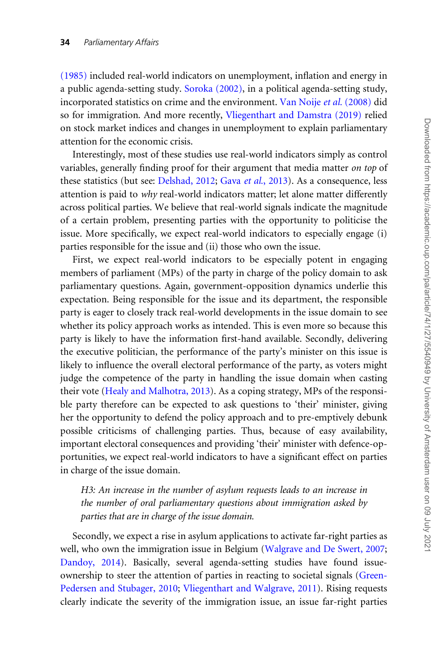[\(1985\)](#page-21-0) included real-world indicators on unemployment, inflation and energy in a public agenda-setting study. [Soroka \(2002\)](#page-24-0), in a political agenda-setting study, incorporated statistics on crime and the environment. [Van Noije](#page-24-0) et al. (2008) did so for immigration. And more recently, [Vliegenthart and Damstra \(2019\)](#page-24-0) relied on stock market indices and changes in unemployment to explain parliamentary attention for the economic crisis.

Interestingly, most of these studies use real-world indicators simply as control variables, generally finding proof for their argument that media matter on top of these statistics (but see: [Delshad, 2012;](#page-21-0) Gava et al.[, 2013](#page-22-0)). As a consequence, less attention is paid to why real-world indicators matter; let alone matter differently across political parties. We believe that real-world signals indicate the magnitude of a certain problem, presenting parties with the opportunity to politicise the issue. More specifically, we expect real-world indicators to especially engage (i) parties responsible for the issue and (ii) those who own the issue.

First, we expect real-world indicators to be especially potent in engaging members of parliament (MPs) of the party in charge of the policy domain to ask parliamentary questions. Again, government-opposition dynamics underlie this expectation. Being responsible for the issue and its department, the responsible party is eager to closely track real-world developments in the issue domain to see whether its policy approach works as intended. This is even more so because this party is likely to have the information first-hand available. Secondly, delivering the executive politician, the performance of the party's minister on this issue is likely to influence the overall electoral performance of the party, as voters might judge the competence of the party in handling the issue domain when casting their vote ([Healy and Malhotra, 2013](#page-22-0)). As a coping strategy, MPs of the responsible party therefore can be expected to ask questions to 'their' minister, giving her the opportunity to defend the policy approach and to pre-emptively debunk possible criticisms of challenging parties. Thus, because of easy availability, important electoral consequences and providing 'their' minister with defence-opportunities, we expect real-world indicators to have a significant effect on parties in charge of the issue domain.

H3: An increase in the number of asylum requests leads to an increase in the number of oral parliamentary questions about immigration asked by parties that are in charge of the issue domain.

Secondly, we expect a rise in asylum applications to activate far-right parties as well, who own the immigration issue in Belgium ([Walgrave and De Swert, 2007](#page-25-0); [Dandoy, 2014](#page-21-0)). Basically, several agenda-setting studies have found issueownership to steer the attention of parties in reacting to societal signals ([Green-](#page-22-0)[Pedersen and Stubager, 2010;](#page-22-0) [Vliegenthart and Walgrave, 2011](#page-25-0)). Rising requests clearly indicate the severity of the immigration issue, an issue far-right parties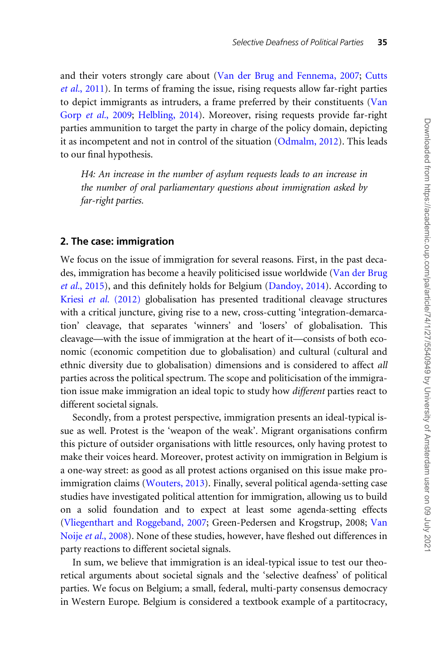and their voters strongly care about ([Van der Brug and Fennema, 2007;](#page-24-0) [Cutts](#page-21-0) et al.[, 2011](#page-21-0)). In terms of framing the issue, rising requests allow far-right parties to depict immigrants as intruders, a frame preferred by their constituents [\(Van](#page-24-0) Gorp et al.[, 2009](#page-24-0); [Helbling, 2014](#page-22-0)). Moreover, rising requests provide far-right parties ammunition to target the party in charge of the policy domain, depicting it as incompetent and not in control of the situation [\(Odmalm, 2012](#page-23-0)). This leads to our final hypothesis.

H4: An increase in the number of asylum requests leads to an increase in the number of oral parliamentary questions about immigration asked by far-right parties.

#### 2. The case: immigration

We focus on the issue of immigration for several reasons. First, in the past decades, immigration has become a heavily politicised issue worldwide [\(Van der Brug](#page-24-0) et al.[, 2015\)](#page-24-0), and this definitely holds for Belgium [\(Dandoy, 2014](#page-21-0)). According to Kriesi et al. [\(2012\)](#page-23-0) globalisation has presented traditional cleavage structures with a critical juncture, giving rise to a new, cross-cutting 'integration-demarcation' cleavage, that separates 'winners' and 'losers' of globalisation. This cleavage—with the issue of immigration at the heart of it—consists of both economic (economic competition due to globalisation) and cultural (cultural and ethnic diversity due to globalisation) dimensions and is considered to affect all parties across the political spectrum. The scope and politicisation of the immigration issue make immigration an ideal topic to study how *different* parties react to different societal signals.

Secondly, from a protest perspective, immigration presents an ideal-typical issue as well. Protest is the 'weapon of the weak'. Migrant organisations confirm this picture of outsider organisations with little resources, only having protest to make their voices heard. Moreover, protest activity on immigration in Belgium is a one-way street: as good as all protest actions organised on this issue make proimmigration claims [\(Wouters, 2013](#page-25-0)). Finally, several political agenda-setting case studies have investigated political attention for immigration, allowing us to build on a solid foundation and to expect at least some agenda-setting effects [\(Vliegenthart and Roggeband, 2007;](#page-24-0) Green-Pedersen and Krogstrup, 2008; [Van](#page-24-0) Noije et al.[, 2008](#page-24-0)). None of these studies, however, have fleshed out differences in party reactions to different societal signals.

In sum, we believe that immigration is an ideal-typical issue to test our theoretical arguments about societal signals and the 'selective deafness' of political parties. We focus on Belgium; a small, federal, multi-party consensus democracy in Western Europe. Belgium is considered a textbook example of a partitocracy,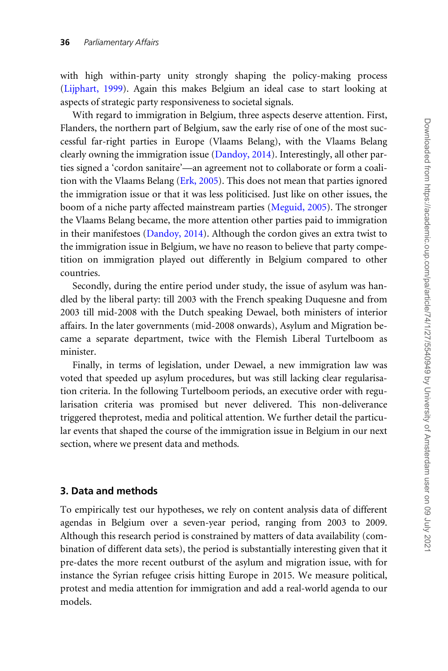with high within-party unity strongly shaping the policy-making process [\(Lijphart, 1999](#page-23-0)). Again this makes Belgium an ideal case to start looking at aspects of strategic party responsiveness to societal signals.

With regard to immigration in Belgium, three aspects deserve attention. First, Flanders, the northern part of Belgium, saw the early rise of one of the most successful far-right parties in Europe (Vlaams Belang), with the Vlaams Belang clearly owning the immigration issue [\(Dandoy, 2014\)](#page-21-0). Interestingly, all other parties signed a 'cordon sanitaire'—an agreement not to collaborate or form a coalition with the Vlaams Belang ([Erk, 2005](#page-22-0)). This does not mean that parties ignored the immigration issue or that it was less politicised. Just like on other issues, the boom of a niche party affected mainstream parties ([Meguid, 2005\)](#page-23-0). The stronger the Vlaams Belang became, the more attention other parties paid to immigration in their manifestoes ([Dandoy, 2014\)](#page-21-0). Although the cordon gives an extra twist to the immigration issue in Belgium, we have no reason to believe that party competition on immigration played out differently in Belgium compared to other countries.

Secondly, during the entire period under study, the issue of asylum was handled by the liberal party: till 2003 with the French speaking Duquesne and from 2003 till mid-2008 with the Dutch speaking Dewael, both ministers of interior affairs. In the later governments (mid-2008 onwards), Asylum and Migration became a separate department, twice with the Flemish Liberal Turtelboom as minister.

Finally, in terms of legislation, under Dewael, a new immigration law was voted that speeded up asylum procedures, but was still lacking clear regularisation criteria. In the following Turtelboom periods, an executive order with regularisation criteria was promised but never delivered. This non-deliverance triggered theprotest, media and political attention. We further detail the particular events that shaped the course of the immigration issue in Belgium in our next section, where we present data and methods.

# 3. Data and methods

To empirically test our hypotheses, we rely on content analysis data of different agendas in Belgium over a seven-year period, ranging from 2003 to 2009. Although this research period is constrained by matters of data availability (combination of different data sets), the period is substantially interesting given that it pre-dates the more recent outburst of the asylum and migration issue, with for instance the Syrian refugee crisis hitting Europe in 2015. We measure political, protest and media attention for immigration and add a real-world agenda to our models.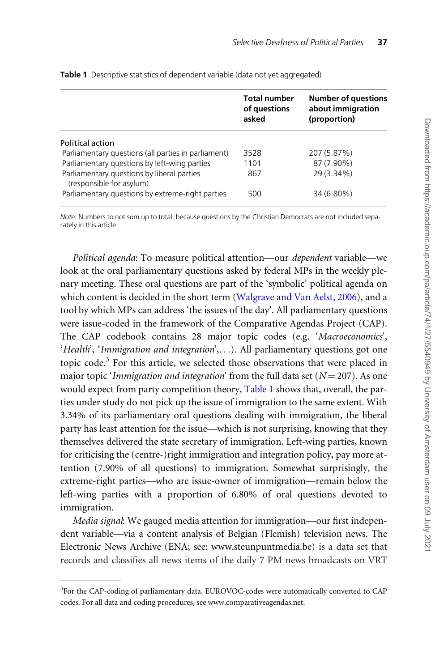|                                                                        | <b>Total number</b><br>of questions<br>asked | <b>Number of questions</b><br>about immigration<br>(proportion) |
|------------------------------------------------------------------------|----------------------------------------------|-----------------------------------------------------------------|
| Political action                                                       |                                              |                                                                 |
| Parliamentary questions (all parties in parliament)                    | 3528                                         | 207 (5.87%)                                                     |
| Parliamentary questions by left-wing parties                           | 1101                                         | 87 (7.90%)                                                      |
| Parliamentary questions by liberal parties<br>(responsible for asylum) | 867                                          | 29 (3.34%)                                                      |
| Parliamentary questions by extreme-right parties                       | 500                                          | 34 (6.80%)                                                      |

Table 1 Descriptive statistics of dependent variable (data not vet aggregated)

Note: Numbers to not sum up to total, because questions by the Christian Democrats are not included separately in this article.

Political agenda: To measure political attention—our dependent variable—we look at the oral parliamentary questions asked by federal MPs in the weekly plenary meeting. These oral questions are part of the 'symbolic' political agenda on which content is decided in the short term ([Walgrave and Van Aelst, 2006](#page-25-0)), and a tool by which MPs can address 'the issues of the day'. All parliamentary questions were issue-coded in the framework of the Comparative Agendas Project (CAP). The CAP codebook contains 28 major topic codes (e.g. 'Macroeconomics', 'Health', 'Immigration and integration',...). All parliamentary questions got one topic code.<sup>3</sup> For this article, we selected those observations that were placed in major topic 'Immigration and integration' from the full data set ( $N = 207$ ). As one would expect from party competition theory, Table 1 shows that, overall, the parties under study do not pick up the issue of immigration to the same extent. With 3.34% of its parliamentary oral questions dealing with immigration, the liberal party has least attention for the issue—which is not surprising, knowing that they themselves delivered the state secretary of immigration. Left-wing parties, known for criticising the (centre-)right immigration and integration policy, pay more attention (7.90% of all questions) to immigration. Somewhat surprisingly, the extreme-right parties—who are issue-owner of immigration—remain below the left-wing parties with a proportion of 6.80% of oral questions devoted to immigration.

Media signal: We gauged media attention for immigration—our first independent variable—via a content analysis of Belgian (Flemish) television news. The Electronic News Archive (ENA; see: [www.steunpuntmedia.be\)](http://www.steunpuntmedia.be) is a data set that records and classifies all news items of the daily 7 PM news broadcasts on VRT

<sup>&</sup>lt;sup>3</sup>For the CAP-coding of parliamentary data, EUROVOC-codes were automatically converted to CAP codes. For all data and coding procedures, see www.comparativeagendas.net.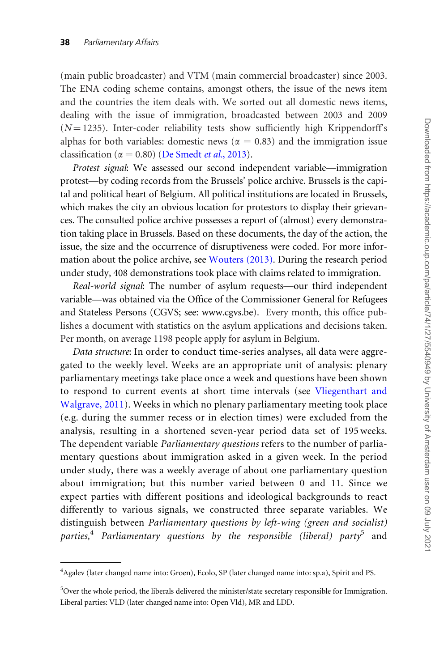(main public broadcaster) and VTM (main commercial broadcaster) since 2003. The ENA coding scheme contains, amongst others, the issue of the news item and the countries the item deals with. We sorted out all domestic news items, dealing with the issue of immigration, broadcasted between 2003 and 2009  $(N = 1235)$ . Inter-coder reliability tests show sufficiently high Krippendorff's alphas for both variables: domestic news ( $\alpha = 0.83$ ) and the immigration issue classification ( $\alpha = 0.80$ ) ([De Smedt](#page-21-0) *et al.*, 2013).

Protest signal: We assessed our second independent variable—immigration protest—by coding records from the Brussels' police archive. Brussels is the capital and political heart of Belgium. All political institutions are located in Brussels, which makes the city an obvious location for protestors to display their grievances. The consulted police archive possesses a report of (almost) every demonstration taking place in Brussels. Based on these documents, the day of the action, the issue, the size and the occurrence of disruptiveness were coded. For more information about the police archive, see [Wouters \(2013\).](#page-25-0) During the research period under study, 408 demonstrations took place with claims related to immigration.

Real-world signal: The number of asylum requests—our third independent variable—was obtained via the Office of the Commissioner General for Refugees and Stateless Persons (CGVS; see: [www.cgvs.be](http://www.cgvs.be)). Every month, this office publishes a document with statistics on the asylum applications and decisions taken. Per month, on average 1198 people apply for asylum in Belgium.

Data structure: In order to conduct time-series analyses, all data were aggregated to the weekly level. Weeks are an appropriate unit of analysis: plenary parliamentary meetings take place once a week and questions have been shown to respond to current events at short time intervals (see [Vliegenthart and](#page-25-0) [Walgrave, 2011\)](#page-25-0). Weeks in which no plenary parliamentary meeting took place (e.g. during the summer recess or in election times) were excluded from the analysis, resulting in a shortened seven-year period data set of 195 weeks. The dependent variable Parliamentary questions refers to the number of parliamentary questions about immigration asked in a given week. In the period under study, there was a weekly average of about one parliamentary question about immigration; but this number varied between 0 and 11. Since we expect parties with different positions and ideological backgrounds to react differently to various signals, we constructed three separate variables. We distinguish between Parliamentary questions by left-wing (green and socialist) parties,<sup>4</sup> Parliamentary questions by the responsible (liberal) party<sup>5</sup> and

<sup>&</sup>lt;sup>4</sup> Agalev (later changed name into: Groen), Ecolo, SP (later changed name into: sp.a), Spirit and PS.

<sup>&</sup>lt;sup>5</sup>Over the whole period, the liberals delivered the minister/state secretary responsible for Immigration. Liberal parties: VLD (later changed name into: Open Vld), MR and LDD.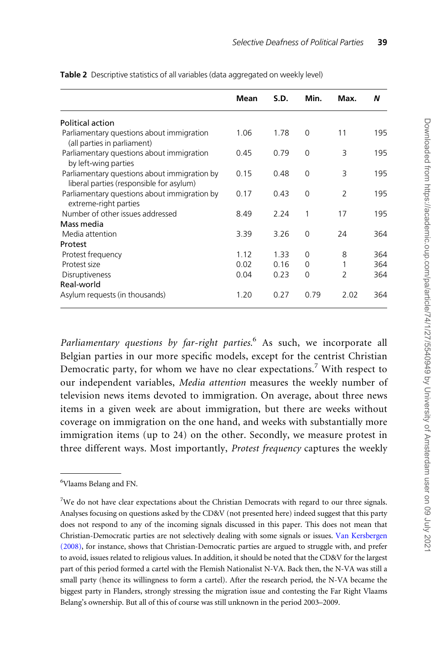|                                                                                          | Mean | S.D. | Min.     | Max.           | N   |
|------------------------------------------------------------------------------------------|------|------|----------|----------------|-----|
| Political action                                                                         |      |      |          |                |     |
| Parliamentary questions about immigration<br>(all parties in parliament)                 | 1.06 | 1.78 | $\Omega$ | 11             | 195 |
| Parliamentary questions about immigration<br>by left-wing parties                        | 0.45 | 0.79 | $\Omega$ | 3              | 195 |
| Parliamentary questions about immigration by<br>liberal parties (responsible for asylum) | 0.15 | 0.48 | $\Omega$ | 3              | 195 |
| Parliamentary questions about immigration by<br>extreme-right parties                    | 0.17 | 0.43 | $\Omega$ | $\mathcal{P}$  | 195 |
| Number of other issues addressed                                                         | 8.49 | 2.24 | 1        | 17             | 195 |
| Mass media                                                                               |      |      |          |                |     |
| Media attention                                                                          | 3.39 | 3.26 | $\Omega$ | 24             | 364 |
| Protest                                                                                  |      |      |          |                |     |
| Protest frequency                                                                        | 1.12 | 1.33 | $\Omega$ | 8              | 364 |
| Protest size                                                                             | 0.02 | 0.16 | $\Omega$ |                | 364 |
| Disruptiveness                                                                           | 0.04 | 0.23 | $\Omega$ | $\overline{2}$ | 364 |
| Real-world                                                                               |      |      |          |                |     |
| Asylum requests (in thousands)                                                           | 1.20 | 0.27 | 0.79     | 2.02           | 364 |

<span id="page-13-0"></span>Table 2 Descriptive statistics of all variables (data aggregated on weekly level)

Parliamentary questions by far-right parties.<sup>6</sup> As such, we incorporate all Belgian parties in our more specific models, except for the centrist Christian Democratic party, for whom we have no clear expectations.<sup>7</sup> With respect to our independent variables, Media attention measures the weekly number of television news items devoted to immigration. On average, about three news items in a given week are about immigration, but there are weeks without coverage on immigration on the one hand, and weeks with substantially more immigration items (up to 24) on the other. Secondly, we measure protest in three different ways. Most importantly, Protest frequency captures the weekly

<sup>6</sup> Vlaams Belang and FN.

<sup>&</sup>lt;sup>7</sup>We do not have clear expectations about the Christian Democrats with regard to our three signals. Analyses focusing on questions asked by the CD&V (not presented here) indeed suggest that this party does not respond to any of the incoming signals discussed in this paper. This does not mean that Christian-Democratic parties are not selectively dealing with some signals or issues. [Van Kersbergen](#page-24-0) [\(2008\),](#page-24-0) for instance, shows that Christian-Democratic parties are argued to struggle with, and prefer to avoid, issues related to religious values. In addition, it should be noted that the CD&V for the largest part of this period formed a cartel with the Flemish Nationalist N-VA. Back then, the N-VA was still a small party (hence its willingness to form a cartel). After the research period, the N-VA became the biggest party in Flanders, strongly stressing the migration issue and contesting the Far Right Vlaams Belang's ownership. But all of this of course was still unknown in the period 2003–2009.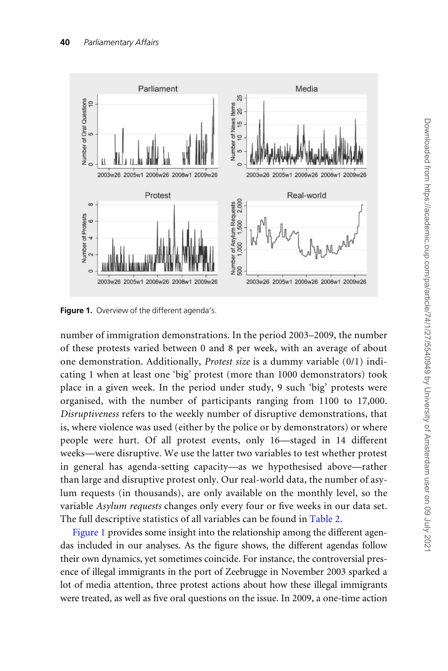

Figure 1. Overview of the different agenda's.

number of immigration demonstrations. In the period 2003–2009, the number of these protests varied between 0 and 8 per week, with an average of about one demonstration. Additionally, Protest size is a dummy variable (0/1) indicating 1 when at least one 'big' protest (more than 1000 demonstrators) took place in a given week. In the period under study, 9 such 'big' protests were organised, with the number of participants ranging from 1100 to 17,000. Disruptiveness refers to the weekly number of disruptive demonstrations, that is, where violence was used (either by the police or by demonstrators) or where people were hurt. Of all protest events, only 16—staged in 14 different weeks—were disruptive. We use the latter two variables to test whether protest in general has agenda-setting capacity—as we hypothesised above—rather than large and disruptive protest only. Our real-world data, the number of asylum requests (in thousands), are only available on the monthly level, so the variable Asylum requests changes only every four or five weeks in our data set. The full descriptive statistics of all variables can be found in [Table 2.](#page-13-0)

Figure 1 provides some insight into the relationship among the different agendas included in our analyses. As the figure shows, the different agendas follow their own dynamics, yet sometimes coincide. For instance, the controversial presence of illegal immigrants in the port of Zeebrugge in November 2003 sparked a lot of media attention, three protest actions about how these illegal immigrants were treated, as well as five oral questions on the issue. In 2009, a one-time action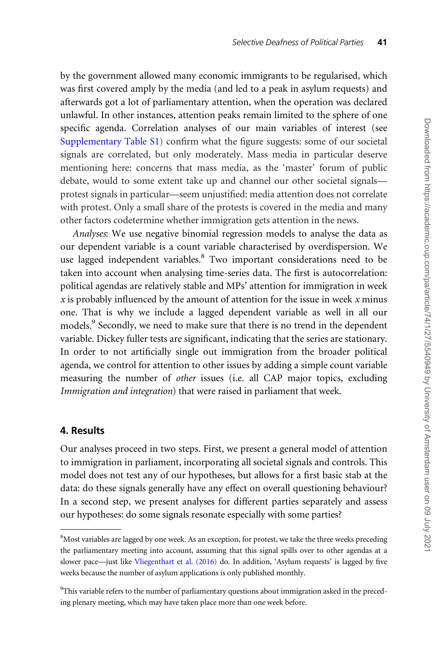by the government allowed many economic immigrants to be regularised, which was first covered amply by the media (and led to a peak in asylum requests) and afterwards got a lot of parliamentary attention, when the operation was declared unlawful. In other instances, attention peaks remain limited to the sphere of one specific agenda. Correlation analyses of our main variables of interest (see [Supplementary Table S1](https://academic.oup.com/pa/article-lookup/doi/10.1093/pa/gsz024#supplementary-data)) confirm what the figure suggests: some of our societal signals are correlated, but only moderately. Mass media in particular deserve mentioning here: concerns that mass media, as the 'master' forum of public debate, would to some extent take up and channel our other societal signals protest signals in particular—seem unjustified: media attention does not correlate with protest. Only a small share of the protests is covered in the media and many other factors codetermine whether immigration gets attention in the news.

Analyses: We use negative binomial regression models to analyse the data as our dependent variable is a count variable characterised by overdispersion. We use lagged independent variables.<sup>8</sup> Two important considerations need to be taken into account when analysing time-series data. The first is autocorrelation: political agendas are relatively stable and MPs' attention for immigration in week x is probably influenced by the amount of attention for the issue in week x minus one. That is why we include a lagged dependent variable as well in all our models.<sup>9</sup> Secondly, we need to make sure that there is no trend in the dependent variable. Dickey fuller tests are significant, indicating that the series are stationary. In order to not artificially single out immigration from the broader political agenda, we control for attention to other issues by adding a simple count variable measuring the number of other issues (i.e. all CAP major topics, excluding Immigration and integration) that were raised in parliament that week.

### 4. Results

Our analyses proceed in two steps. First, we present a general model of attention to immigration in parliament, incorporating all societal signals and controls. This model does not test any of our hypotheses, but allows for a first basic stab at the data: do these signals generally have any effect on overall questioning behaviour? In a second step, we present analyses for different parties separately and assess our hypotheses: do some signals resonate especially with some parties?

<sup>&</sup>lt;sup>8</sup>Most variables are lagged by one week. As an exception, for protest, we take the three weeks preceding the parliamentary meeting into account, assuming that this signal spills over to other agendas at a slower pace—just like [Vliegenthart et al. \(2016\)](#page-25-0) do. In addition, 'Asylum requests' is lagged by five weeks because the number of asylum applications is only published monthly.

<sup>&</sup>lt;sup>9</sup>This variable refers to the number of parliamentary questions about immigration asked in the preceding plenary meeting, which may have taken place more than one week before.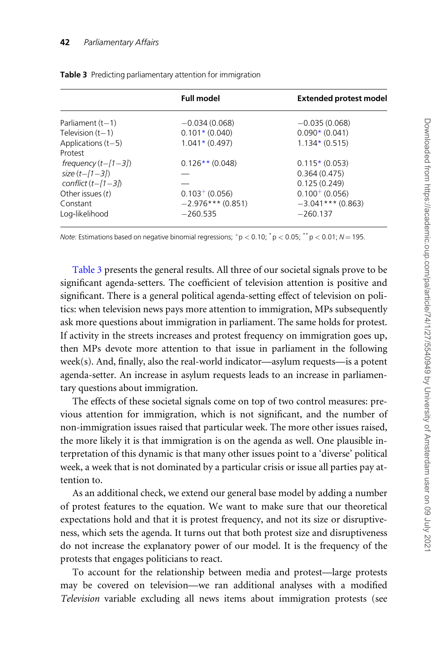| <b>Full model</b><br><b>Extended protest model</b><br>Parliament $(t-1)$<br>$-0.034(0.068)$<br>$-0.035(0.068)$<br>$0.101*(0.040)$<br>$0.090*(0.041)$<br>Television $(t-1)$<br>Applications $(t-5)$<br>$1.041*(0.497)$<br>$1.134*(0.515)$<br>Protest<br>frequency $(t-[1-3])$<br>$0.126**$ (0.048)<br>$0.115*(0.053)$<br>$size(t - 11 - 31)$<br>0.364(0.475)<br>conflict $(t-[1-3])$<br>0.125(0.249)<br>$0.100^{+}$ (0.056)<br>$0.103^{+}$ (0.056)<br>Other issues $(t)$ |  |
|-------------------------------------------------------------------------------------------------------------------------------------------------------------------------------------------------------------------------------------------------------------------------------------------------------------------------------------------------------------------------------------------------------------------------------------------------------------------------|--|
|                                                                                                                                                                                                                                                                                                                                                                                                                                                                         |  |
|                                                                                                                                                                                                                                                                                                                                                                                                                                                                         |  |
|                                                                                                                                                                                                                                                                                                                                                                                                                                                                         |  |
|                                                                                                                                                                                                                                                                                                                                                                                                                                                                         |  |
|                                                                                                                                                                                                                                                                                                                                                                                                                                                                         |  |
|                                                                                                                                                                                                                                                                                                                                                                                                                                                                         |  |
|                                                                                                                                                                                                                                                                                                                                                                                                                                                                         |  |
|                                                                                                                                                                                                                                                                                                                                                                                                                                                                         |  |
|                                                                                                                                                                                                                                                                                                                                                                                                                                                                         |  |
| $-2.976***$ (0.851)<br>$-3.041***$ (0.863)<br>Constant                                                                                                                                                                                                                                                                                                                                                                                                                  |  |
| Log-likelihood<br>$-260.535$<br>$-260.137$                                                                                                                                                                                                                                                                                                                                                                                                                              |  |

Table 3 Predicting parliamentary attention for immigration

Note: Estimations based on negative binomial regressions;  $+p < 0.10$ ;  $^*p < 0.05$ ;  $^*p < 0.01$ ; N = 195.

Table 3 presents the general results. All three of our societal signals prove to be significant agenda-setters. The coefficient of television attention is positive and significant. There is a general political agenda-setting effect of television on politics: when television news pays more attention to immigration, MPs subsequently ask more questions about immigration in parliament. The same holds for protest. If activity in the streets increases and protest frequency on immigration goes up, then MPs devote more attention to that issue in parliament in the following week(s). And, finally, also the real-world indicator—asylum requests—is a potent agenda-setter. An increase in asylum requests leads to an increase in parliamentary questions about immigration.

The effects of these societal signals come on top of two control measures: previous attention for immigration, which is not significant, and the number of non-immigration issues raised that particular week. The more other issues raised, the more likely it is that immigration is on the agenda as well. One plausible interpretation of this dynamic is that many other issues point to a 'diverse' political week, a week that is not dominated by a particular crisis or issue all parties pay attention to.

As an additional check, we extend our general base model by adding a number of protest features to the equation. We want to make sure that our theoretical expectations hold and that it is protest frequency, and not its size or disruptiveness, which sets the agenda. It turns out that both protest size and disruptiveness do not increase the explanatory power of our model. It is the frequency of the protests that engages politicians to react.

To account for the relationship between media and protest—large protests may be covered on television—we ran additional analyses with a modified Television variable excluding all news items about immigration protests (see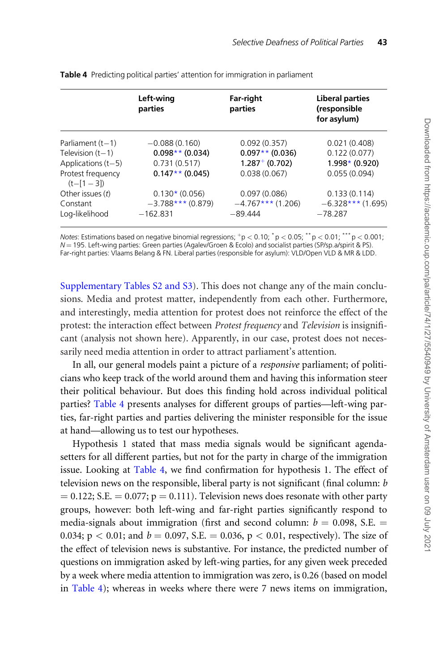|                                                                                                      | Left-wing<br>parties                                                      | Far-right<br>parties                                                     | <b>Liberal parties</b><br>(responsible<br>for asylum)            |
|------------------------------------------------------------------------------------------------------|---------------------------------------------------------------------------|--------------------------------------------------------------------------|------------------------------------------------------------------|
| Parliament $(t-1)$<br>Television $(t-1)$<br>Applications $(t-5)$<br>Protest frequency<br>$(t-[1-3])$ | $-0.088(0.160)$<br>$0.098**$ (0.034)<br>0.731(0.517)<br>$0.147**$ (0.045) | 0.092(0.357)<br>$0.097**$ (0.036)<br>$1.287^{+}$ (0.702)<br>0.038(0.067) | 0.021(0.408)<br>0.122(0.077)<br>$1.998*$ (0.920)<br>0.055(0.094) |
| Other issues $(t)$<br>Constant<br>Log-likelihood                                                     | $0.130*(0.056)$<br>$-3.788***$ (0.879)<br>$-162.831$                      | 0.097(0.086)<br>$-4.767***$ (1.206)<br>$-89.444$                         | 0.133(0.114)<br>$-6.328***$ (1.695)<br>$-78.287$                 |

<span id="page-17-0"></span>Table 4 Predicting political parties' attention for immigration in parliament

Notes: Estimations based on negative binomial regressions;  $+p < 0.10$ ;  $^*p < 0.05$ ;  $^{**}p < 0.01$ ;  $^{***}p < 0.001$ ; N = 195. Left-wing parties: Green parties (Agalev/Groen & Ecolo) and socialist parties (SP/sp.a/spirit & PS). Far-right parties: Vlaams Belang & FN. Liberal parties (responsible for asylum): VLD/Open VLD & MR & LDD.

[Supplementary Tables S2 and S3](https://academic.oup.com/pa/article-lookup/doi/10.1093/pa/gsz024#supplementary-data)). This does not change any of the main conclusions. Media and protest matter, independently from each other. Furthermore, and interestingly, media attention for protest does not reinforce the effect of the protest: the interaction effect between Protest frequency and Television is insignificant (analysis not shown here). Apparently, in our case, protest does not necessarily need media attention in order to attract parliament's attention.

In all, our general models paint a picture of a responsive parliament; of politicians who keep track of the world around them and having this information steer their political behaviour. But does this finding hold across individual political parties? Table 4 presents analyses for different groups of parties—left-wing parties, far-right parties and parties delivering the minister responsible for the issue at hand—allowing us to test our hypotheses.

Hypothesis 1 stated that mass media signals would be significant agendasetters for all different parties, but not for the party in charge of the immigration issue. Looking at Table 4, we find confirmation for hypothesis 1. The effect of television news on the responsible, liberal party is not significant (final column: b  $= 0.122$ ; S.E.  $= 0.077$ ; p  $= 0.111$ ). Television news does resonate with other party groups, however: both left-wing and far-right parties significantly respond to media-signals about immigration (first and second column:  $b = 0.098$ , S.E.  $=$ 0.034;  $p < 0.01$ ; and  $b = 0.097$ , S.E.  $= 0.036$ ,  $p < 0.01$ , respectively). The size of the effect of television news is substantive. For instance, the predicted number of questions on immigration asked by left-wing parties, for any given week preceded by a week where media attention to immigration was zero, is 0.26 (based on model in Table 4); whereas in weeks where there were 7 news items on immigration,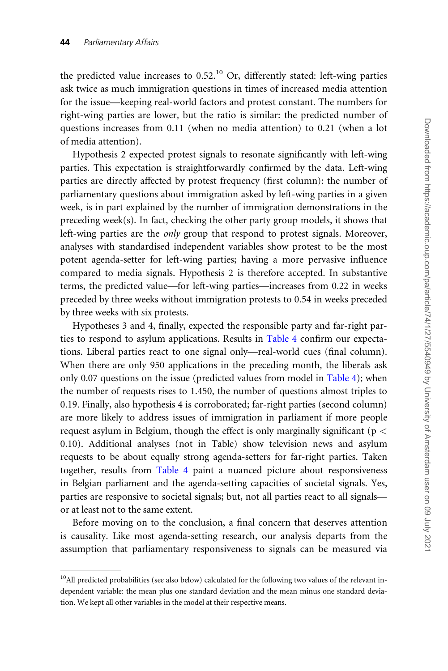the predicted value increases to  $0.52<sup>10</sup>$  Or, differently stated: left-wing parties ask twice as much immigration questions in times of increased media attention for the issue—keeping real-world factors and protest constant. The numbers for right-wing parties are lower, but the ratio is similar: the predicted number of questions increases from 0.11 (when no media attention) to 0.21 (when a lot of media attention).

Hypothesis 2 expected protest signals to resonate significantly with left-wing parties. This expectation is straightforwardly confirmed by the data. Left-wing parties are directly affected by protest frequency (first column): the number of parliamentary questions about immigration asked by left-wing parties in a given week, is in part explained by the number of immigration demonstrations in the preceding week(s). In fact, checking the other party group models, it shows that left-wing parties are the only group that respond to protest signals. Moreover, analyses with standardised independent variables show protest to be the most potent agenda-setter for left-wing parties; having a more pervasive influence compared to media signals. Hypothesis 2 is therefore accepted. In substantive terms, the predicted value—for left-wing parties—increases from 0.22 in weeks preceded by three weeks without immigration protests to 0.54 in weeks preceded by three weeks with six protests.

Hypotheses 3 and 4, finally, expected the responsible party and far-right parties to respond to asylum applications. Results in [Table 4](#page-17-0) confirm our expectations. Liberal parties react to one signal only—real-world cues (final column). When there are only 950 applications in the preceding month, the liberals ask only 0.07 questions on the issue (predicted values from model in [Table 4](#page-17-0)); when the number of requests rises to 1.450, the number of questions almost triples to 0.19. Finally, also hypothesis 4 is corroborated; far-right parties (second column) are more likely to address issues of immigration in parliament if more people request asylum in Belgium, though the effect is only marginally significant ( $p <$ 0.10). Additional analyses (not in Table) show television news and asylum requests to be about equally strong agenda-setters for far-right parties. Taken together, results from [Table 4](#page-17-0) paint a nuanced picture about responsiveness in Belgian parliament and the agenda-setting capacities of societal signals. Yes, parties are responsive to societal signals; but, not all parties react to all signals or at least not to the same extent.

Before moving on to the conclusion, a final concern that deserves attention is causality. Like most agenda-setting research, our analysis departs from the assumption that parliamentary responsiveness to signals can be measured via

 $10$ All predicted probabilities (see also below) calculated for the following two values of the relevant independent variable: the mean plus one standard deviation and the mean minus one standard deviation. We kept all other variables in the model at their respective means.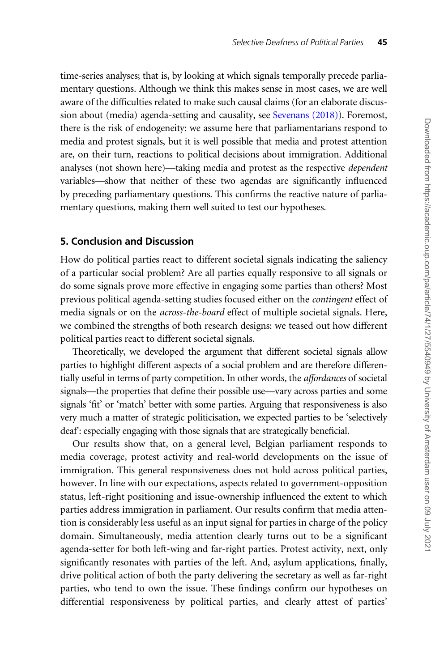time-series analyses; that is, by looking at which signals temporally precede parliamentary questions. Although we think this makes sense in most cases, we are well aware of the difficulties related to make such causal claims (for an elaborate discussion about (media) agenda-setting and causality, see [Sevenans \(2018\)](#page-23-0)). Foremost, there is the risk of endogeneity: we assume here that parliamentarians respond to media and protest signals, but it is well possible that media and protest attention are, on their turn, reactions to political decisions about immigration. Additional analyses (not shown here)—taking media and protest as the respective dependent variables—show that neither of these two agendas are significantly influenced by preceding parliamentary questions. This confirms the reactive nature of parliamentary questions, making them well suited to test our hypotheses.

## 5. Conclusion and Discussion

How do political parties react to different societal signals indicating the saliency of a particular social problem? Are all parties equally responsive to all signals or do some signals prove more effective in engaging some parties than others? Most previous political agenda-setting studies focused either on the contingent effect of media signals or on the across-the-board effect of multiple societal signals. Here, we combined the strengths of both research designs: we teased out how different political parties react to different societal signals.

Theoretically, we developed the argument that different societal signals allow parties to highlight different aspects of a social problem and are therefore differentially useful in terms of party competition. In other words, the affordances of societal signals—the properties that define their possible use—vary across parties and some signals 'fit' or 'match' better with some parties. Arguing that responsiveness is also very much a matter of strategic politicisation, we expected parties to be 'selectively deaf': especially engaging with those signals that are strategically beneficial.

Our results show that, on a general level, Belgian parliament responds to media coverage, protest activity and real-world developments on the issue of immigration. This general responsiveness does not hold across political parties, however. In line with our expectations, aspects related to government-opposition status, left-right positioning and issue-ownership influenced the extent to which parties address immigration in parliament. Our results confirm that media attention is considerably less useful as an input signal for parties in charge of the policy domain. Simultaneously, media attention clearly turns out to be a significant agenda-setter for both left-wing and far-right parties. Protest activity, next, only significantly resonates with parties of the left. And, asylum applications, finally, drive political action of both the party delivering the secretary as well as far-right parties, who tend to own the issue. These findings confirm our hypotheses on differential responsiveness by political parties, and clearly attest of parties'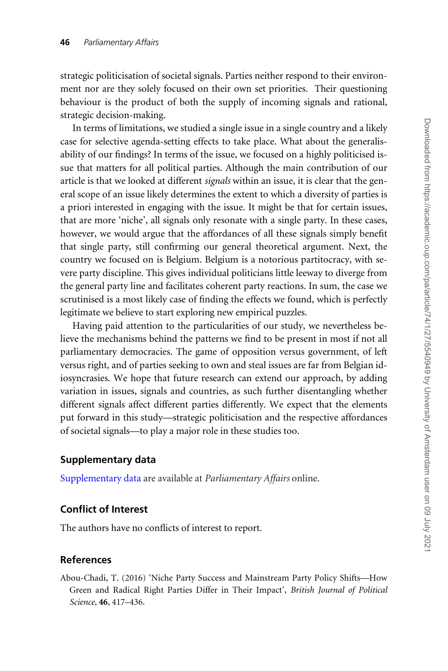<span id="page-20-0"></span>strategic politicisation of societal signals. Parties neither respond to their environment nor are they solely focused on their own set priorities. Their questioning behaviour is the product of both the supply of incoming signals and rational, strategic decision-making.

In terms of limitations, we studied a single issue in a single country and a likely case for selective agenda-setting effects to take place. What about the generalisability of our findings? In terms of the issue, we focused on a highly politicised issue that matters for all political parties. Although the main contribution of our article is that we looked at different signals within an issue, it is clear that the general scope of an issue likely determines the extent to which a diversity of parties is a priori interested in engaging with the issue. It might be that for certain issues, that are more 'niche', all signals only resonate with a single party. In these cases, however, we would argue that the affordances of all these signals simply benefit that single party, still confirming our general theoretical argument. Next, the country we focused on is Belgium. Belgium is a notorious partitocracy, with severe party discipline. This gives individual politicians little leeway to diverge from the general party line and facilitates coherent party reactions. In sum, the case we scrutinised is a most likely case of finding the effects we found, which is perfectly legitimate we believe to start exploring new empirical puzzles.

Having paid attention to the particularities of our study, we nevertheless believe the mechanisms behind the patterns we find to be present in most if not all parliamentary democracies. The game of opposition versus government, of left versus right, and of parties seeking to own and steal issues are far from Belgian idiosyncrasies. We hope that future research can extend our approach, by adding variation in issues, signals and countries, as such further disentangling whether different signals affect different parties differently. We expect that the elements put forward in this study—strategic politicisation and the respective affordances of societal signals—to play a major role in these studies too.

### Supplementary data

[Supplementary data](https://academic.oup.com/pa/article-lookup/doi/10.1093/pa/gsz024#supplementary-data) are available at Parliamentary Affairs online.

## Conflict of Interest

The authors have no conflicts of interest to report.

#### References

Abou-Chadi, T. (2016) 'Niche Party Success and Mainstream Party Policy Shifts—How Green and Radical Right Parties Differ in Their Impact', British Journal of Political Science, 46, 417–436.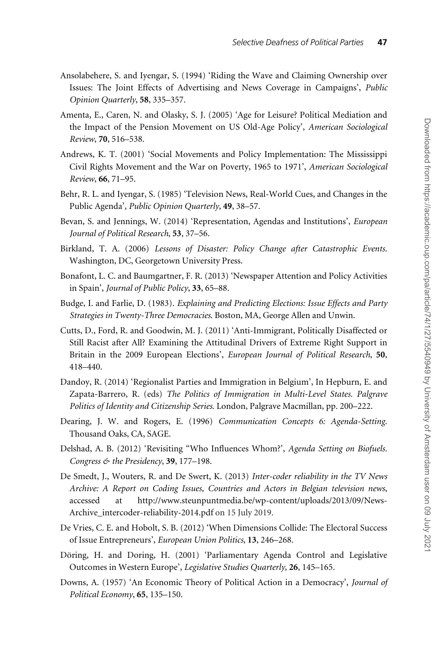- <span id="page-21-0"></span>Ansolabehere, S. and Iyengar, S. (1994) 'Riding the Wave and Claiming Ownership over Issues: The Joint Effects of Advertising and News Coverage in Campaigns', Public Opinion Quarterly, 58, 335–357.
- Amenta, E., Caren, N. and Olasky, S. J. (2005) 'Age for Leisure? Political Mediation and the Impact of the Pension Movement on US Old-Age Policy', American Sociological Review, 70, 516–538.
- Andrews, K. T. (2001) 'Social Movements and Policy Implementation: The Mississippi Civil Rights Movement and the War on Poverty, 1965 to 1971', American Sociological Review, 66, 71–95.
- Behr, R. L. and Iyengar, S. (1985) 'Television News, Real-World Cues, and Changes in the Public Agenda', Public Opinion Quarterly, 49, 38–57.
- Bevan, S. and Jennings, W. (2014) 'Representation, Agendas and Institutions', European Journal of Political Research, 53, 37–56.
- Birkland, T. A. (2006) Lessons of Disaster: Policy Change after Catastrophic Events. Washington, DC, Georgetown University Press.
- Bonafont, L. C. and Baumgartner, F. R. (2013) 'Newspaper Attention and Policy Activities in Spain', Journal of Public Policy, 33, 65–88.
- Budge, I. and Farlie, D. (1983). Explaining and Predicting Elections: Issue Effects and Party Strategies in Twenty-Three Democracies. Boston, MA, George Allen and Unwin.
- Cutts, D., Ford, R. and Goodwin, M. J. (2011) 'Anti-Immigrant, Politically Disaffected or Still Racist after All? Examining the Attitudinal Drivers of Extreme Right Support in Britain in the 2009 European Elections', European Journal of Political Research, 50, 418–440.
- Dandoy, R. (2014) 'Regionalist Parties and Immigration in Belgium', In Hepburn, E. and Zapata-Barrero, R. (eds) The Politics of Immigration in Multi-Level States. Palgrave Politics of Identity and Citizenship Series. London, Palgrave Macmillan, pp. 200–222.
- Dearing, J. W. and Rogers, E. (1996) Communication Concepts 6: Agenda-Setting. Thousand Oaks, CA, SAGE.
- Delshad, A. B. (2012) 'Revisiting "Who Influences Whom?', Agenda Setting on Biofuels. Congress & the Presidency, 39, 177-198.
- De Smedt, J., Wouters, R. and De Swert, K. (2013) Inter-coder reliability in the TV News Archive: A Report on Coding Issues, Countries and Actors in Belgian television news, accessed at [http://www.steunpuntmedia.be/wp-content/uploads/2013/09/News-](http://www.steunpuntmedia.be/wp-content/uploads/2013/09/News-Archive_intercoder-reliability-2014.pdf)[Archive\\_intercoder-reliability-2014.pdf](http://www.steunpuntmedia.be/wp-content/uploads/2013/09/News-Archive_intercoder-reliability-2014.pdf) on 15 July 2019.
- De Vries, C. E. and Hobolt, S. B. (2012) 'When Dimensions Collide: The Electoral Success of Issue Entrepreneurs', European Union Politics, 13, 246–268.
- Döring, H. and Doring, H. (2001) 'Parliamentary Agenda Control and Legislative Outcomes in Western Europe', Legislative Studies Quarterly, 26, 145–165.
- Downs, A. (1957) 'An Economic Theory of Political Action in a Democracy', Journal of Political Economy, 65, 135–150.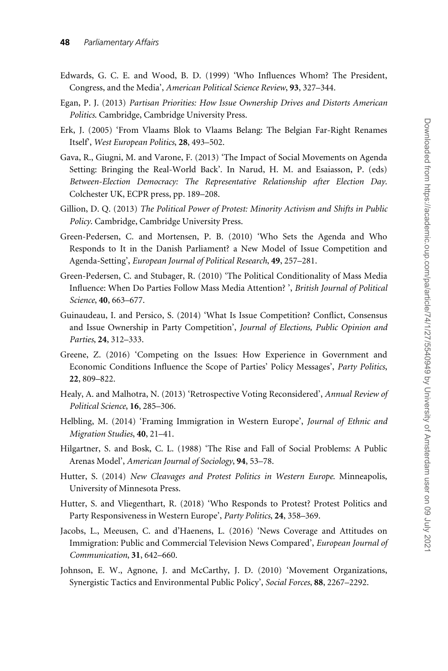- <span id="page-22-0"></span>Edwards, G. C. E. and Wood, B. D. (1999) 'Who Influences Whom? The President, Congress, and the Media', American Political Science Review, 93, 327–344.
- Egan, P. J. (2013) Partisan Priorities: How Issue Ownership Drives and Distorts American Politics. Cambridge, Cambridge University Press.
- Erk, J. (2005) 'From Vlaams Blok to Vlaams Belang: The Belgian Far-Right Renames Itself', West European Politics, 28, 493–502.
- Gava, R., Giugni, M. and Varone, F. (2013) 'The Impact of Social Movements on Agenda Setting: Bringing the Real-World Back'. In Narud, H. M. and Esaiasson, P. (eds) Between-Election Democracy: The Representative Relationship after Election Day. Colchester UK, ECPR press, pp. 189–208.
- Gillion, D. Q. (2013) The Political Power of Protest: Minority Activism and Shifts in Public Policy. Cambridge, Cambridge University Press.
- Green-Pedersen, C. and Mortensen, P. B. (2010) 'Who Sets the Agenda and Who Responds to It in the Danish Parliament? a New Model of Issue Competition and Agenda-Setting', European Journal of Political Research, 49, 257–281.
- Green-Pedersen, C. and Stubager, R. (2010) 'The Political Conditionality of Mass Media Influence: When Do Parties Follow Mass Media Attention? ', British Journal of Political Science, 40, 663–677.
- Guinaudeau, I. and Persico, S. (2014) 'What Is Issue Competition? Conflict, Consensus and Issue Ownership in Party Competition', Journal of Elections, Public Opinion and Parties, 24, 312–333.
- Greene, Z. (2016) 'Competing on the Issues: How Experience in Government and Economic Conditions Influence the Scope of Parties' Policy Messages', Party Politics, 22, 809–822.
- Healy, A. and Malhotra, N. (2013) 'Retrospective Voting Reconsidered', Annual Review of Political Science, 16, 285–306.
- Helbling, M. (2014) 'Framing Immigration in Western Europe', Journal of Ethnic and Migration Studies, 40, 21–41.
- Hilgartner, S. and Bosk, C. L. (1988) 'The Rise and Fall of Social Problems: A Public Arenas Model', American Journal of Sociology, 94, 53–78.
- Hutter, S. (2014) New Cleavages and Protest Politics in Western Europe. Minneapolis, University of Minnesota Press.
- Hutter, S. and Vliegenthart, R. (2018) 'Who Responds to Protest? Protest Politics and Party Responsiveness in Western Europe', Party Politics, 24, 358–369.
- Jacobs, L., Meeusen, C. and d'Haenens, L. (2016) 'News Coverage and Attitudes on Immigration: Public and Commercial Television News Compared', European Journal of Communication, 31, 642–660.
- Johnson, E. W., Agnone, J. and McCarthy, J. D. (2010) 'Movement Organizations, Synergistic Tactics and Environmental Public Policy', Social Forces, 88, 2267–2292.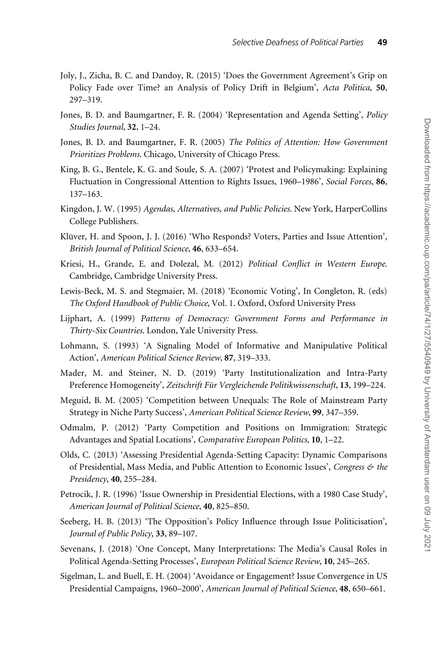- <span id="page-23-0"></span>Joly, J., Zicha, B. C. and Dandoy, R. (2015) 'Does the Government Agreement's Grip on Policy Fade over Time? an Analysis of Policy Drift in Belgium', Acta Politica, 50, 297–319.
- Jones, B. D. and Baumgartner, F. R. (2004) 'Representation and Agenda Setting', Policy Studies Journal, 32, 1–24.
- Jones, B. D. and Baumgartner, F. R. (2005) The Politics of Attention: How Government Prioritizes Problems. Chicago, University of Chicago Press.
- King, B. G., Bentele, K. G. and Soule, S. A. (2007) 'Protest and Policymaking: Explaining Fluctuation in Congressional Attention to Rights Issues, 1960–1986', Social Forces, 86, 137–163.
- Kingdon, J. W. (1995) Agendas, Alternatives, and Public Policies. New York, HarperCollins College Publishers.
- Klüver, H. and Spoon, J. J. (2016) 'Who Responds? Voters, Parties and Issue Attention', British Journal of Political Science, 46, 633–654.
- Kriesi, H., Grande, E. and Dolezal, M. (2012) Political Conflict in Western Europe. Cambridge, Cambridge University Press.
- Lewis-Beck, M. S. and Stegmaier, M. (2018) 'Economic Voting', In Congleton, R. (eds) The Oxford Handbook of Public Choice, Vol. 1. Oxford, Oxford University Press
- Lijphart, A. (1999) Patterns of Democracy: Government Forms and Performance in Thirty-Six Countries. London, Yale University Press.
- Lohmann, S. (1993) 'A Signaling Model of Informative and Manipulative Political Action', American Political Science Review, 87, 319–333.
- Mader, M. and Steiner, N. D. (2019) 'Party Institutionalization and Intra-Party Preference Homogeneity', Zeitschrift Für Vergleichende Politikwissenschaft, 13, 199-224.
- Meguid, B. M. (2005) 'Competition between Unequals: The Role of Mainstream Party Strategy in Niche Party Success', American Political Science Review, 99, 347–359.
- Odmalm, P. (2012) 'Party Competition and Positions on Immigration: Strategic Advantages and Spatial Locations', Comparative European Politics, 10, 1–22.
- Olds, C. (2013) 'Assessing Presidential Agenda-Setting Capacity: Dynamic Comparisons of Presidential, Mass Media, and Public Attention to Economic Issues', Congress  $\mathfrak{G}$  the Presidency, 40, 255–284.
- Petrocik, J. R. (1996) 'Issue Ownership in Presidential Elections, with a 1980 Case Study', American Journal of Political Science, 40, 825–850.
- Seeberg, H. B. (2013) 'The Opposition's Policy Influence through Issue Politicisation', Journal of Public Policy, 33, 89–107.
- Sevenans, J. (2018) 'One Concept, Many Interpretations: The Media's Causal Roles in Political Agenda-Setting Processes', European Political Science Review, 10, 245–265.
- Sigelman, L. and Buell, E. H. (2004) 'Avoidance or Engagement? Issue Convergence in US Presidential Campaigns, 1960–2000', American Journal of Political Science, 48, 650–661.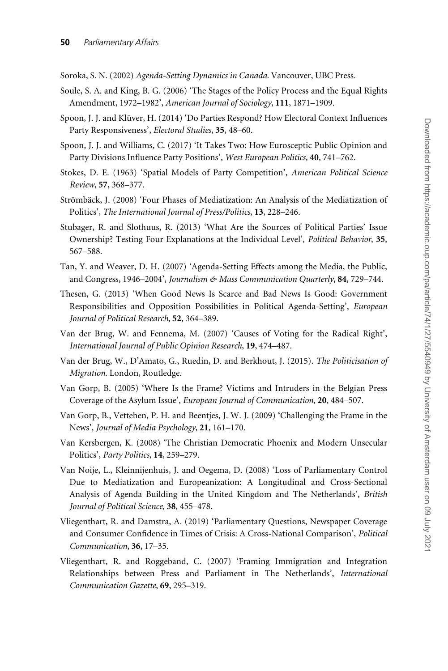<span id="page-24-0"></span>Soroka, S. N. (2002) Agenda-Setting Dynamics in Canada. Vancouver, UBC Press.

- Soule, S. A. and King, B. G. (2006) 'The Stages of the Policy Process and the Equal Rights Amendment, 1972–1982', American Journal of Sociology, 111, 1871–1909.
- Spoon, J. J. and Klüver, H. (2014) 'Do Parties Respond? How Electoral Context Influences Party Responsiveness', Electoral Studies, 35, 48–60.
- Spoon, J. J. and Williams, C. (2017) 'It Takes Two: How Eurosceptic Public Opinion and Party Divisions Influence Party Positions', West European Politics, 40, 741–762.
- Stokes, D. E. (1963) 'Spatial Models of Party Competition', American Political Science Review, 57, 368–377.
- Strömbäck, J. (2008) 'Four Phases of Mediatization: An Analysis of the Mediatization of Politics', The International Journal of Press/Politics, 13, 228–246.
- Stubager, R. and Slothuus, R. (2013) 'What Are the Sources of Political Parties' Issue Ownership? Testing Four Explanations at the Individual Level', Political Behavior, 35, 567–588.
- Tan, Y. and Weaver, D. H. (2007) 'Agenda-Setting Effects among the Media, the Public, and Congress, 1946–2004', Journalism & Mass Communication Quarterly, 84, 729–744.
- Thesen, G. (2013) 'When Good News Is Scarce and Bad News Is Good: Government Responsibilities and Opposition Possibilities in Political Agenda-Setting', European Journal of Political Research, 52, 364–389.
- Van der Brug, W. and Fennema, M. (2007) 'Causes of Voting for the Radical Right', International Journal of Public Opinion Research, 19, 474–487.
- Van der Brug, W., D'Amato, G., Ruedin, D. and Berkhout, J. (2015). The Politicisation of Migration. London, Routledge.
- Van Gorp, B. (2005) 'Where Is the Frame? Victims and Intruders in the Belgian Press Coverage of the Asylum Issue', European Journal of Communication, 20, 484–507.
- Van Gorp, B., Vettehen, P. H. and Beentjes, J. W. J. (2009) 'Challenging the Frame in the News', Journal of Media Psychology, 21, 161–170.
- Van Kersbergen, K. (2008) 'The Christian Democratic Phoenix and Modern Unsecular Politics', Party Politics, 14, 259–279.
- Van Noije, L., Kleinnijenhuis, J. and Oegema, D. (2008) 'Loss of Parliamentary Control Due to Mediatization and Europeanization: A Longitudinal and Cross-Sectional Analysis of Agenda Building in the United Kingdom and The Netherlands', British Journal of Political Science, 38, 455–478.
- Vliegenthart, R. and Damstra, A. (2019) 'Parliamentary Questions, Newspaper Coverage and Consumer Confidence in Times of Crisis: A Cross-National Comparison', Political Communication, 36, 17–35.
- Vliegenthart, R. and Roggeband, C. (2007) 'Framing Immigration and Integration Relationships between Press and Parliament in The Netherlands', International Communication Gazette, 69, 295–319.